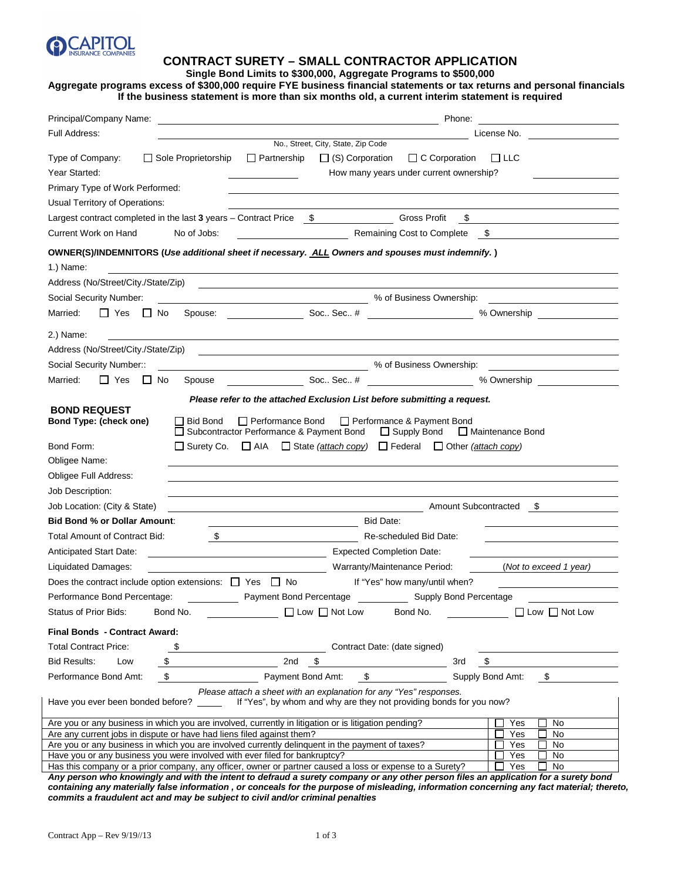

#### **CONTRACT SURETY – SMALL CONTRACTOR APPLICATION**

#### **Single Bond Limits to \$300,000, Aggregate Programs to \$500,000**

## **Aggregate programs excess of \$300,000 require FYE business financial statements or tax returns and personal financials If the business statement is more than six months old, a current interim statement is required**

| Principal/Company Name:                                                                                                                                                                            | Phone:<br>the contract of the contract of the contract of the contract of the contract of the contract of the contract of<br>the control of the control of the control of the control of the control of the control of |  |  |  |
|----------------------------------------------------------------------------------------------------------------------------------------------------------------------------------------------------|------------------------------------------------------------------------------------------------------------------------------------------------------------------------------------------------------------------------|--|--|--|
| Full Address:                                                                                                                                                                                      | License No. <u>_____________</u>                                                                                                                                                                                       |  |  |  |
| $\Box$ Sole Proprietorship<br>Type of Company:<br>Year Started:                                                                                                                                    | No., Street, City, State, Zip Code<br>$\Box$ Partnership<br>$\Box$ (S) Corporation<br>$\Box$ C Corporation<br>$\sqcup$ LLC<br>How many years under current ownership?                                                  |  |  |  |
| Primary Type of Work Performed:                                                                                                                                                                    |                                                                                                                                                                                                                        |  |  |  |
| Usual Territory of Operations:                                                                                                                                                                     |                                                                                                                                                                                                                        |  |  |  |
| Largest contract completed in the last $3$ years $-$ Contract Price $$$                                                                                                                            | <b>Gross Profit</b><br>\$                                                                                                                                                                                              |  |  |  |
| Current Work on Hand<br>No of Jobs:                                                                                                                                                                | Remaining Cost to Complete<br>$\mathbb{S}$                                                                                                                                                                             |  |  |  |
| OWNER(S)/INDEMNITORS (Use additional sheet if necessary. ALL Owners and spouses must indemnify.)                                                                                                   |                                                                                                                                                                                                                        |  |  |  |
| 1.) Name:                                                                                                                                                                                          |                                                                                                                                                                                                                        |  |  |  |
| Address (No/Street/City./State/Zip)                                                                                                                                                                |                                                                                                                                                                                                                        |  |  |  |
| Social Security Number:                                                                                                                                                                            | More than 1999 with the South Company of Business Ownership:                                                                                                                                                           |  |  |  |
| ∐ Yes ⊔ No<br>Married:                                                                                                                                                                             | Spouse: Soc Sec # 1999<br>% Ownership <u>containing</u>                                                                                                                                                                |  |  |  |
| 2.) Name:<br><u> 1989 - Johann Barbara, martxa alemaniar amerikan a</u>                                                                                                                            |                                                                                                                                                                                                                        |  |  |  |
| Address (No/Street/City./State/Zip)                                                                                                                                                                | <u> 1989 - Johann Harry Harry Harry Harry Harry Harry Harry Harry Harry Harry Harry Harry Harry Harry Harry Harry</u>                                                                                                  |  |  |  |
| Social Security Number::                                                                                                                                                                           | <b>Moreof Business Ownership:</b> % of Business Ownership:                                                                                                                                                             |  |  |  |
| ∐ Yes<br>Married:<br>$\Box$ No<br>Spouse                                                                                                                                                           | Soc., Sec., #<br>% Ownership <b>Sales Structure</b> 2014                                                                                                                                                               |  |  |  |
|                                                                                                                                                                                                    | Please refer to the attached Exclusion List before submitting a request.                                                                                                                                               |  |  |  |
| <b>BOND REQUEST</b><br>Bond Type: (check one)<br><b>Bid Bond</b><br>Bond Form:<br>Obligee Name:                                                                                                    | $\Box$ Performance Bond<br>Performance & Payment Bond<br>Subcontractor Performance & Payment Bond<br>□ Supply Bond<br>□ Maintenance Bond<br>□ Surety Co. □ AIA □ State (attach copy) □ Federal □ Other (attach copy)   |  |  |  |
| Obligee Full Address:                                                                                                                                                                              |                                                                                                                                                                                                                        |  |  |  |
| Job Description:                                                                                                                                                                                   |                                                                                                                                                                                                                        |  |  |  |
| Job Location: (City & State)                                                                                                                                                                       | Amount Subcontracted \$                                                                                                                                                                                                |  |  |  |
| <b>Bid Bond % or Dollar Amount:</b>                                                                                                                                                                | Bid Date:                                                                                                                                                                                                              |  |  |  |
| Total Amount of Contract Bid:<br>$\mathcal{S}$                                                                                                                                                     | Re-scheduled Bid Date:                                                                                                                                                                                                 |  |  |  |
| Anticipated Start Date:                                                                                                                                                                            | <b>Expected Completion Date:</b>                                                                                                                                                                                       |  |  |  |
| Liquidated Damages:                                                                                                                                                                                | Warranty/Maintenance Period:<br>(Not to exceed 1 year)                                                                                                                                                                 |  |  |  |
| Does the contract include option extensions: $\Box$ Yes $\Box$ No                                                                                                                                  | If "Yes" how many/until when?                                                                                                                                                                                          |  |  |  |
| Performance Bond Percentage:                                                                                                                                                                       | Payment Bond Percentage Supply Bond Percentage                                                                                                                                                                         |  |  |  |
| Bond No.<br>Status of Prior Bids:                                                                                                                                                                  | $\Box$ Low $\Box$ Not Low<br>Bond No.<br>$\Box$ Low $\Box$ Not Low                                                                                                                                                     |  |  |  |
| Final Bonds - Contract Award:                                                                                                                                                                      |                                                                                                                                                                                                                        |  |  |  |
| \$<br><b>Total Contract Price:</b>                                                                                                                                                                 | Contract Date: (date signed)                                                                                                                                                                                           |  |  |  |
| <b>Bid Results:</b><br>\$<br>Low                                                                                                                                                                   | 2nd<br>\$<br>\$<br>3rd                                                                                                                                                                                                 |  |  |  |
| \$<br>Performance Bond Amt:                                                                                                                                                                        | \$<br>\$<br>Payment Bond Amt:<br>Supply Bond Amt:                                                                                                                                                                      |  |  |  |
| Please attach a sheet with an explanation for any "Yes" responses.<br>Have you ever been bonded before?<br>If "Yes", by whom and why are they not providing bonds for you now?                     |                                                                                                                                                                                                                        |  |  |  |
| Are you or any business in which you are involved, currently in litigation or is litigation pending?<br>No<br>Yes                                                                                  |                                                                                                                                                                                                                        |  |  |  |
| Are any current jobs in dispute or have had liens filed against them?<br>Yes<br>No<br>Are you or any business in which you are involved currently delinquent in the payment of taxes?<br>No<br>Yes |                                                                                                                                                                                                                        |  |  |  |
| Have you or any business you were involved with ever filed for bankruptcy?<br>Yes<br>No                                                                                                            |                                                                                                                                                                                                                        |  |  |  |
| Has this company or a prior company, any officer, owner or partner caused a loss or expense to a Surety?<br>Yes<br>No                                                                              |                                                                                                                                                                                                                        |  |  |  |

**Any person who knowingly and with the intent to defraud a surety company or any other person files an application for a surety bond containing any materially false information , or conceals for the purpose of misleading, information concerning any fact material; thereto, commits a fraudulent act and may be subject to civil and/or criminal penalties**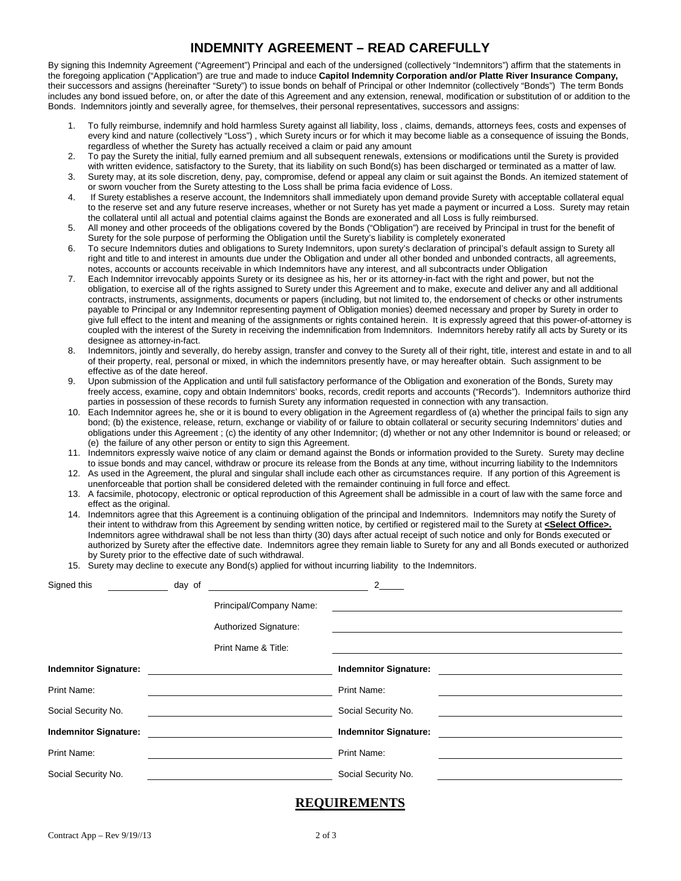# **INDEMNITY AGREEMENT – READ CAREFULLY**

By signing this Indemnity Agreement ("Agreement") Principal and each of the undersigned (collectively "Indemnitors") affirm that the statements in the foregoing application ("Application") are true and made to induce **Capitol Indemnity Corporation and/or Platte River Insurance Company,**  their successors and assigns (hereinafter "Surety") to issue bonds on behalf of Principal or other Indemnitor (collectively "Bonds") The term Bonds includes any bond issued before, on, or after the date of this Agreement and any extension, renewal, modification or substitution of or addition to the Bonds. Indemnitors jointly and severally agree, for themselves, their personal representatives, successors and assigns:

- 1. To fully reimburse, indemnify and hold harmless Surety against all liability, loss , claims, demands, attorneys fees, costs and expenses of every kind and nature (collectively "Loss") , which Surety incurs or for which it may become liable as a consequence of issuing the Bonds, regardless of whether the Surety has actually received a claim or paid any amount
- 2. To pay the Surety the initial, fully earned premium and all subsequent renewals, extensions or modifications until the Surety is provided with written evidence, satisfactory to the Surety, that its liability on such Bond(s) has been discharged or terminated as a matter of law.
- 3. Surety may, at its sole discretion, deny, pay, compromise, defend or appeal any claim or suit against the Bonds. An itemized statement of or sworn voucher from the Surety attesting to the Loss shall be prima facia evidence of Loss.
- 4. If Surety establishes a reserve account, the Indemnitors shall immediately upon demand provide Surety with acceptable collateral equal to the reserve set and any future reserve increases, whether or not Surety has yet made a payment or incurred a Loss. Surety may retain the collateral until all actual and potential claims against the Bonds are exonerated and all Loss is fully reimbursed.
- 5. All money and other proceeds of the obligations covered by the Bonds ("Obligation") are received by Principal in trust for the benefit of Surety for the sole purpose of performing the Obligation until the Surety's liability is completely exonerated
- 6. To secure Indemnitors duties and obligations to Surety Indemnitors, upon surety's declaration of principal's default assign to Surety all right and title to and interest in amounts due under the Obligation and under all other bonded and unbonded contracts, all agreements, notes, accounts or accounts receivable in which Indemnitors have any interest, and all subcontracts under Obligation
- 7. Each Indemnitor irrevocably appoints Surety or its designee as his, her or its attorney-in-fact with the right and power, but not the obligation, to exercise all of the rights assigned to Surety under this Agreement and to make, execute and deliver any and all additional contracts, instruments, assignments, documents or papers (including, but not limited to, the endorsement of checks or other instruments payable to Principal or any Indemnitor representing payment of Obligation monies) deemed necessary and proper by Surety in order to give full effect to the intent and meaning of the assignments or rights contained herein. It is expressly agreed that this power-of-attorney is coupled with the interest of the Surety in receiving the indemnification from Indemnitors. Indemnitors hereby ratify all acts by Surety or its designee as attorney-in-fact.
- 8. Indemnitors, jointly and severally, do hereby assign, transfer and convey to the Surety all of their right, title, interest and estate in and to all of their property, real, personal or mixed, in which the indemnitors presently have, or may hereafter obtain. Such assignment to be effective as of the date hereof.
- 9. Upon submission of the Application and until full satisfactory performance of the Obligation and exoneration of the Bonds, Surety may freely access, examine, copy and obtain Indemnitors' books, records, credit reports and accounts ("Records"). Indemnitors authorize third parties in possession of these records to furnish Surety any information requested in connection with any transaction.
- 10. Each Indemnitor agrees he, she or it is bound to every obligation in the Agreement regardless of (a) whether the principal fails to sign any bond; (b) the existence, release, return, exchange or viability of or failure to obtain collateral or security securing Indemnitors' duties and obligations under this Agreement ; (c) the identity of any other Indemnitor; (d) whether or not any other Indemnitor is bound or released; or (e) the failure of any other person or entity to sign this Agreement.
- 11. Indemnitors expressly waive notice of any claim or demand against the Bonds or information provided to the Surety. Surety may decline to issue bonds and may cancel, withdraw or procure its release from the Bonds at any time, without incurring liability to the Indemnitors
- 12. As used in the Agreement, the plural and singular shall include each other as circumstances require. If any portion of this Agreement is unenforceable that portion shall be considered deleted with the remainder continuing in full force and effect.
- 13. A facsimile, photocopy, electronic or optical reproduction of this Agreement shall be admissible in a court of law with the same force and effect as the original.
- 14. Indemnitors agree that this Agreement is a continuing obligation of the principal and Indemnitors. Indemnitors may notify the Surety of their intent to withdraw from this Agreement by sending written notice, by certified or registered mail to the Surety at **<Select Office>.** Indemnitors agree withdrawal shall be not less than thirty (30) days after actual receipt of such notice and only for Bonds executed or authorized by Surety after the effective date. Indemnitors agree they remain liable to Surety for any and all Bonds executed or authorized by Surety prior to the effective date of such withdrawal.
- 15. Surety may decline to execute any Bond(s) applied for without incurring liability to the Indemnitors.

| Signed this                  | day of |                                                  | $2^{\circ}$                  |
|------------------------------|--------|--------------------------------------------------|------------------------------|
|                              |        | Principal/Company Name:<br>Authorized Signature: |                              |
|                              |        | Print Name & Title:                              |                              |
| <b>Indemnitor Signature:</b> |        |                                                  | <b>Indemnitor Signature:</b> |
| Print Name:                  |        |                                                  | Print Name:                  |
| Social Security No.          |        |                                                  | Social Security No.          |
| <b>Indemnitor Signature:</b> |        |                                                  | <b>Indemnitor Signature:</b> |
| Print Name:                  |        |                                                  | Print Name:                  |
| Social Security No.          |        |                                                  | Social Security No.          |

#### **REQUIREMENTS**